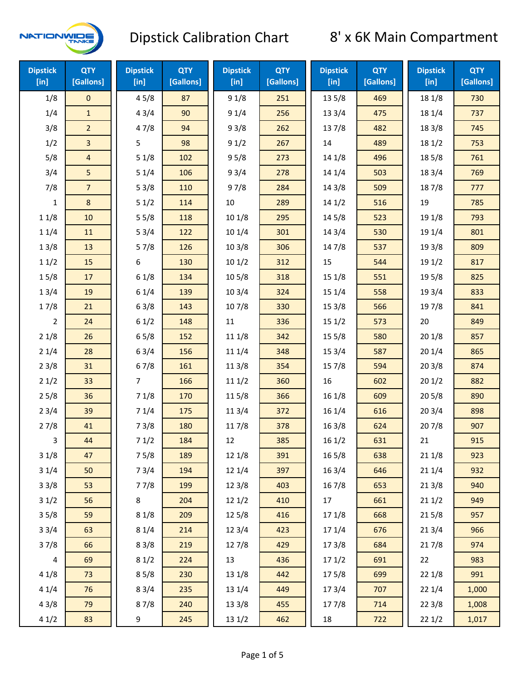

| <b>Dipstick</b><br>[in] | <b>QTY</b><br>[Gallons] | <b>Dipstick</b><br>$[$ in] | <b>QTY</b><br>[Gallons] | <b>Dipstick</b><br>[in] | <b>QTY</b><br>[Gallons] | <b>Dipstick</b><br>[in] | <b>QTY</b><br>[Gallons] | <b>Dipstick</b><br>$[$ in] | <b>QTY</b><br>[Gallons] |
|-------------------------|-------------------------|----------------------------|-------------------------|-------------------------|-------------------------|-------------------------|-------------------------|----------------------------|-------------------------|
| 1/8                     | $\mathbf 0$             | 45/8                       | 87                      | 91/8                    | 251                     | 13 5/8                  | 469                     | 18 1/8                     | 730                     |
| 1/4                     | $\mathbf{1}$            | 43/4                       | 90                      | 91/4                    | 256                     | 133/4                   | 475                     | 18 1/4                     | 737                     |
| 3/8                     | $\overline{2}$          | 47/8                       | 94                      | 93/8                    | 262                     | 137/8                   | 482                     | 18 3/8                     | 745                     |
| 1/2                     | 3                       | 5                          | 98                      | 91/2                    | 267                     | 14                      | 489                     | 181/2                      | 753                     |
| 5/8                     | 4                       | 51/8                       | 102                     | 95/8                    | 273                     | 14 1/8                  | 496                     | 185/8                      | 761                     |
| 3/4                     | 5                       | 51/4                       | 106                     | 93/4                    | 278                     | 14 1/4                  | 503                     | 18 3/4                     | 769                     |
| 7/8                     | $\overline{7}$          | 53/8                       | 110                     | 97/8                    | 284                     | 14 3/8                  | 509                     | 187/8                      | 777                     |
| 1                       | 8                       | 51/2                       | 114                     | $10\,$                  | 289                     | 141/2                   | 516                     | 19                         | 785                     |
| 11/8                    | 10                      | 55/8                       | 118                     | 101/8                   | 295                     | 14 5/8                  | 523                     | 19 1/8                     | 793                     |
| 11/4                    | 11                      | 53/4                       | 122                     | 10 1/4                  | 301                     | 14 3/4                  | 530                     | 19 1/4                     | 801                     |
| 13/8                    | 13                      | 57/8                       | 126                     | 103/8                   | 306                     | 147/8                   | 537                     | 19 3/8                     | 809                     |
| 11/2                    | 15                      | 6                          | 130                     | 101/2                   | 312                     | 15                      | 544                     | 19 1/2                     | 817                     |
| 15/8                    | $17\,$                  | 61/8                       | 134                     | 10 <sub>5</sub> /8      | 318                     | 151/8                   | 551                     | 19 5/8                     | 825                     |
| 13/4                    | 19                      | 61/4                       | 139                     | 103/4                   | 324                     | 151/4                   | 558                     | 19 3/4                     | 833                     |
| 17/8                    | 21                      | 63/8                       | 143                     | 107/8                   | 330                     | 153/8                   | 566                     | 197/8                      | 841                     |
| 2                       | 24                      | 61/2                       | 148                     | 11                      | 336                     | 151/2                   | 573                     | 20                         | 849                     |
| 21/8                    | 26                      | 65/8                       | 152                     | 11 1/8                  | 342                     | 15 5/8                  | 580                     | 201/8                      | 857                     |
| 21/4                    | 28                      | 63/4                       | 156                     | 11 1/4                  | 348                     | 15 3/4                  | 587                     | 201/4                      | 865                     |
| 23/8                    | 31                      | 67/8                       | 161                     | 11 3/8                  | 354                     | 15 7/8                  | 594                     | 203/8                      | 874                     |
| 21/2                    | 33                      | $\overline{7}$             | 166                     | 111/2                   | 360                     | 16                      | 602                     | 201/2                      | 882                     |
| 25/8                    | 36                      | 71/8                       | 170                     | 115/8                   | 366                     | 16 1/8                  | 609                     | 205/8                      | 890                     |
| 23/4                    | 39                      | 71/4                       | 175                     | 113/4                   | 372                     | 16 1/4                  | 616                     | 203/4                      | 898                     |
| 27/8                    | 41                      | 73/8                       | 180                     | 11 7/8                  | 378                     | 16 3/8                  | 624                     | 207/8                      | 907                     |
| 3                       | 44                      | 71/2                       | 184                     | 12                      | 385                     | 161/2                   | 631                     | 21                         | 915                     |
| 31/8                    | 47                      | 75/8                       | 189                     | 12 1/8                  | 391                     | 165/8                   | 638                     | 211/8                      | 923                     |
| 31/4                    | 50                      | 73/4                       | 194                     | 12 1/4                  | 397                     | 16 3/4                  | 646                     | 211/4                      | 932                     |
| 33/8                    | 53                      | 77/8                       | 199                     | 12 3/8                  | 403                     | 16 7/8                  | 653                     | 213/8                      | 940                     |
| 31/2                    | 56                      | 8                          | 204                     | 12 1/2                  | 410                     | 17                      | 661                     | 211/2                      | 949                     |
| 35/8                    | 59                      | 81/8                       | 209                     | 125/8                   | 416                     | 17 1/8                  | 668                     | 215/8                      | 957                     |
| 33/4                    | 63                      | 81/4                       | 214                     | 123/4                   | 423                     | 17 1/4                  | 676                     | 213/4                      | 966                     |
| 37/8                    | 66                      | 83/8                       | 219                     | 127/8                   | 429                     | 173/8                   | 684                     | 217/8                      | 974                     |
| 4                       | 69                      | 81/2                       | 224                     | 13                      | 436                     | 171/2                   | 691                     | 22                         | 983                     |
| 41/8                    | 73                      | 85/8                       | 230                     | 13 1/8                  | 442                     | 175/8                   | 699                     | 221/8                      | 991                     |
| 41/4                    | 76                      | 83/4                       | 235                     | 13 1/4                  | 449                     | 17 3/4                  | 707                     | 221/4                      | 1,000                   |
| 43/8                    | 79                      | 87/8                       | 240                     | 13 3/8                  | 455                     | 177/8                   | 714                     | 223/8                      | 1,008                   |
| 41/2                    | 83                      | 9                          | 245                     | 13 1/2                  | 462                     | 18                      | 722                     | 221/2                      | 1,017                   |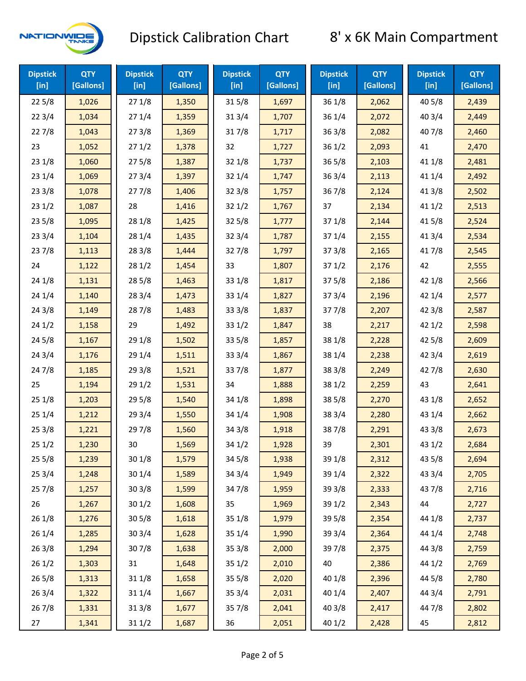

| <b>Dipstick</b><br>$[$ in] | <b>QTY</b><br>[Gallons] | <b>Dipstick</b><br>$[$ in] | <b>QTY</b><br>[Gallons] | <b>Dipstick</b><br>$[$ in] | <b>QTY</b><br>[Gallons] | <b>Dipstick</b><br>$[$ in] | <b>QTY</b><br>[Gallons] | <b>Dipstick</b><br>$[$ in] | <b>QTY</b><br>[Gallons] |
|----------------------------|-------------------------|----------------------------|-------------------------|----------------------------|-------------------------|----------------------------|-------------------------|----------------------------|-------------------------|
| 225/8                      | 1,026                   | 271/8                      | 1,350                   | 315/8                      | 1,697                   | 36 1/8                     | 2,062                   | 40 5/8                     | 2,439                   |
| 223/4                      | 1,034                   | 271/4                      | 1,359                   | 31 3/4                     | 1,707                   | 36 1/4                     | 2,072                   | 40 3/4                     | 2,449                   |
| 227/8                      | 1,043                   | 273/8                      | 1,369                   | 317/8                      | 1,717                   | 363/8                      | 2,082                   | 407/8                      | 2,460                   |
| 23                         | 1,052                   | 271/2                      | 1,378                   | 32                         | 1,727                   | 361/2                      | 2,093                   | 41                         | 2,470                   |
| 23 1/8                     | 1,060                   | 275/8                      | 1,387                   | 32 1/8                     | 1,737                   | 365/8                      | 2,103                   | 41 1/8                     | 2,481                   |
| 231/4                      | 1,069                   | 273/4                      | 1,397                   | 32 1/4                     | 1,747                   | 363/4                      | 2,113                   | 41 1/4                     | 2,492                   |
| 233/8                      | 1,078                   | 277/8                      | 1,406                   | 323/8                      | 1,757                   | 36 7/8                     | 2,124                   | 413/8                      | 2,502                   |
| 231/2                      | 1,087                   | 28                         | 1,416                   | 321/2                      | 1,767                   | 37                         | 2,134                   | 411/2                      | 2,513                   |
| 23 5/8                     | 1,095                   | 28 1/8                     | 1,425                   | 325/8                      | 1,777                   | 37 1/8                     | 2,144                   | 41 5/8                     | 2,524                   |
| 233/4                      | 1,104                   | 28 1/4                     | 1,435                   | 32 3/4                     | 1,787                   | 37 1/4                     | 2,155                   | 41 3/4                     | 2,534                   |
| 237/8                      | 1,113                   | 28 3/8                     | 1,444                   | 327/8                      | 1,797                   | 37 3/8                     | 2,165                   | 417/8                      | 2,545                   |
| 24                         | 1,122                   | 281/2                      | 1,454                   | 33                         | 1,807                   | 371/2                      | 2,176                   | 42                         | 2,555                   |
| 24 1/8                     | 1,131                   | 285/8                      | 1,463                   | 33 1/8                     | 1,817                   | 375/8                      | 2,186                   | 42 1/8                     | 2,566                   |
| 241/4                      | 1,140                   | 283/4                      | 1,473                   | 33 1/4                     | 1,827                   | 373/4                      | 2,196                   | 42 1/4                     | 2,577                   |
| 243/8                      | 1,149                   | 28 7/8                     | 1,483                   | 33 3/8                     | 1,837                   | 377/8                      | 2,207                   | 42 3/8                     | 2,587                   |
| 241/2                      | 1,158                   | 29                         | 1,492                   | 33 1/2                     | 1,847                   | 38                         | 2,217                   | 421/2                      | 2,598                   |
| 245/8                      | 1,167                   | 29 1/8                     | 1,502                   | 33 5/8                     | 1,857                   | 38 1/8                     | 2,228                   | 42 5/8                     | 2,609                   |
| 243/4                      | 1,176                   | 29 1/4                     | 1,511                   | 33 3/4                     | 1,867                   | 38 1/4                     | 2,238                   | 42 3/4                     | 2,619                   |
| 247/8                      | 1,185                   | 293/8                      | 1,521                   | 337/8                      | 1,877                   | 38 3/8                     | 2,249                   | 42 7/8                     | 2,630                   |
| 25                         | 1,194                   | 291/2                      | 1,531                   | 34                         | 1,888                   | 38 1/2                     | 2,259                   | 43                         | 2,641                   |
| 25 1/8                     | 1,203                   | 295/8                      | 1,540                   | 34 1/8                     | 1,898                   | 38 5/8                     | 2,270                   | 43 1/8                     | 2,652                   |
| 251/4                      | 1,212                   | 293/4                      | 1,550                   | 34 1/4                     | 1,908                   | 38 3/4                     | 2,280                   | 43 1/4                     | 2,662                   |
| 253/8                      | 1,221                   | 297/8                      | 1,560                   | 34 3/8                     | 1,918                   | 387/8                      | 2,291                   | 43 3/8                     | 2,673                   |
| 251/2                      | 1,230                   | 30                         | 1,569                   | 34 1/2                     | 1,928                   | 39                         | 2,301                   | 43 1/2                     | 2,684                   |
| 255/8                      | 1,239                   | 301/8                      | 1,579                   | 345/8                      | 1,938                   | 39 1/8                     | 2,312                   | 43 5/8                     | 2,694                   |
| 253/4                      | 1,248                   | 30 1/4                     | 1,589                   | 34 3/4                     | 1,949                   | 39 1/4                     | 2,322                   | 43 3/4                     | 2,705                   |
| 257/8                      | 1,257                   | 303/8                      | 1,599                   | 347/8                      | 1,959                   | 39 3/8                     | 2,333                   | 437/8                      | 2,716                   |
| 26                         | 1,267                   | 301/2                      | 1,608                   | 35                         | 1,969                   | 39 1/2                     | 2,343                   | 44                         | 2,727                   |
| 26 1/8                     | 1,276                   | 305/8                      | 1,618                   | 35 1/8                     | 1,979                   | 39 5/8                     | 2,354                   | 44 1/8                     | 2,737                   |
| 26 1/4                     | 1,285                   | 303/4                      | 1,628                   | 35 1/4                     | 1,990                   | 39 3/4                     |                         | 44 1/4                     | 2,748                   |
| 26 3/8                     | 1,294                   | 307/8                      | 1,638                   | 35 3/8                     | 2,000                   | 397/8                      | 2,375                   | 44 3/8                     | 2,759                   |
| 261/2                      | 1,303                   | 31                         | 1,648                   | 351/2                      | 2,010                   | 40                         | 2,386                   | 44 1/2                     | 2,769                   |
| 265/8                      | 1,313                   | 31 1/8                     | 1,658                   | 35 5/8                     | 2,020                   | 40 1/8                     | 2,396                   | 44 5/8                     | 2,780                   |
| 263/4                      | 1,322                   | 31 1/4                     | 1,667                   | 35 3/4                     | 2,031                   | 40 1/4                     | 2,407                   | 44 3/4                     | 2,791                   |
| 267/8                      | 1,331                   | 313/8                      | 1,677                   | 357/8                      | 2,041                   | 40 3/8                     | 2,417                   | 447/8                      | 2,802                   |
| 27                         | 1,341                   | 311/2                      | 1,687                   | 36                         | 2,051                   | 40 1/2                     | 2,428                   | 45                         | 2,812                   |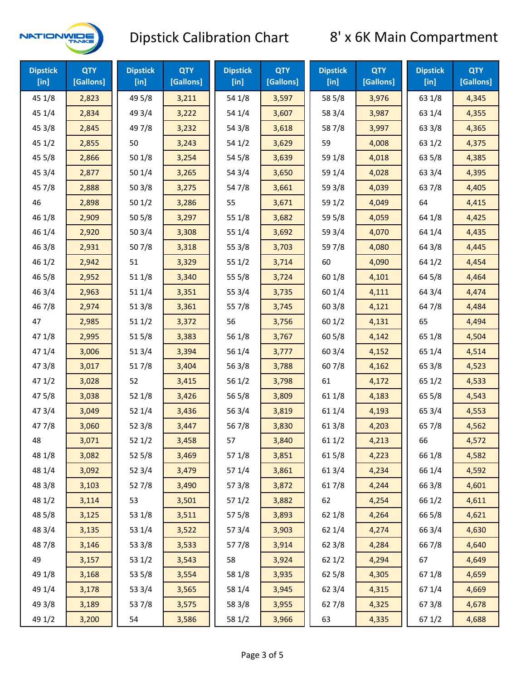

| <b>Dipstick</b><br>$[$ in] | <b>QTY</b><br>[Gallons] | <b>Dipstick</b><br>$[$ in] | <b>QTY</b><br>[Gallons] | <b>Dipstick</b><br>$[$ in] | <b>QTY</b><br>[Gallons] | <b>Dipstick</b><br>$[$ in] | <b>QTY</b><br>[Gallons] | <b>Dipstick</b><br>$[$ in] | <b>QTY</b><br>[Gallons] |
|----------------------------|-------------------------|----------------------------|-------------------------|----------------------------|-------------------------|----------------------------|-------------------------|----------------------------|-------------------------|
| 45 1/8                     | 2,823                   | 49 5/8                     | 3,211                   | 54 1/8                     | 3,597                   | 58 5/8                     | 3,976                   | 63 1/8                     | 4,345                   |
| 45 1/4                     | 2,834                   | 49 3/4                     | 3,222                   | 54 1/4                     | 3,607                   | 58 3/4                     | 3,987                   | 63 1/4                     | 4,355                   |
| 45 3/8                     | 2,845                   | 49 7/8                     | 3,232                   | 54 3/8                     | 3,618                   | 587/8                      | 3,997                   | 63 3/8                     | 4,365                   |
| 45 1/2                     | 2,855                   | 50                         | 3,243                   | 54 1/2                     | 3,629                   | 59                         | 4,008                   | 63 1/2                     | 4,375                   |
| 45 5/8                     | 2,866                   | 50 1/8                     | 3,254                   | 54 5/8                     | 3,639                   | 59 1/8                     | 4,018                   | 63 5/8                     | 4,385                   |
| 45 3/4                     | 2,877                   | 501/4                      | 3,265                   | 54 3/4                     | 3,650                   | 59 1/4                     | 4,028                   | 63 3/4                     | 4,395                   |
| 45 7/8                     | 2,888                   | 503/8                      | 3,275                   | 54 7/8                     | 3,661                   | 59 3/8                     | 4,039                   | 63 7/8                     | 4,405                   |
| 46                         | 2,898                   | 501/2                      | 3,286                   | 55                         | 3,671                   | 59 1/2                     | 4,049                   | 64                         | 4,415                   |
| 46 1/8                     | 2,909                   | 505/8                      | 3,297                   | 55 1/8                     | 3,682                   | 59 5/8                     | 4,059                   | 64 1/8                     | 4,425                   |
| 46 1/4                     | 2,920                   | 503/4                      | 3,308                   | 55 1/4                     | 3,692                   | 59 3/4                     | 4,070                   | 64 1/4                     | 4,435                   |
| 46 3/8                     | 2,931                   | 507/8                      | 3,318                   | 55 3/8                     | 3,703                   | 597/8                      | 4,080                   | 64 3/8                     | 4,445                   |
| 46 1/2                     | 2,942                   | 51                         | 3,329                   | 551/2                      | 3,714                   | 60                         | 4,090                   | 64 1/2                     | 4,454                   |
| 46 5/8                     | 2,952                   | 51 1/8                     | 3,340                   | 55 5/8                     | 3,724                   | 60 1/8                     | 4,101                   | 64 5/8                     | 4,464                   |
| 46 3/4                     | 2,963                   | 51 1/4                     | 3,351                   | 55 3/4                     | 3,735                   | 60 1/4                     | 4,111                   | 64 3/4                     | 4,474                   |
| 46 7/8                     | 2,974                   | 51 3/8                     | 3,361                   | 55 7/8                     | 3,745                   | 603/8                      | 4,121                   | 64 7/8                     | 4,484                   |
| 47                         | 2,985                   | 51 1/2                     | 3,372                   | 56                         | 3,756                   | 60 1/2                     | 4,131                   | 65                         | 4,494                   |
| 47 1/8                     | 2,995                   | 515/8                      | 3,383                   | 56 1/8                     | 3,767                   | 60 5/8                     | 4,142                   | 65 1/8                     | 4,504                   |
| 47 1/4                     | 3,006                   | 51 3/4                     | 3,394                   | 56 1/4                     | 3,777                   | 60 3/4                     | 4,152                   | 65 1/4                     | 4,514                   |
| 47 3/8                     | 3,017                   | 517/8                      | 3,404                   | 56 3/8                     | 3,788                   | 607/8                      | 4,162                   | 65 3/8                     | 4,523                   |
| 471/2                      | 3,028                   | 52                         | 3,415                   | 56 1/2                     | 3,798                   | 61                         | 4,172                   | 65 1/2                     | 4,533                   |
| 475/8                      | 3,038                   | 52 1/8                     | 3,426                   | 56 5/8                     | 3,809                   | 61 1/8                     | 4,183                   | 65 5/8                     | 4,543                   |
| 47 3/4                     | 3,049                   | 52 1/4                     | 3,436                   | 56 3/4                     | 3,819                   | 61 1/4                     | 4,193                   | 65 3/4                     | 4,553                   |
| 47 7/8                     | 3,060                   | 52 3/8                     | 3,447                   | 567/8                      | 3,830                   | 61 3/8                     | 4,203                   | 65 7/8                     | 4,562                   |
| 48                         | 3,071                   | 521/2                      | 3,458                   | 57                         | 3,840                   | 611/2                      | 4,213                   | 66                         | 4,572                   |
| 48 1/8                     | 3,082                   | 52 5/8                     | 3,469                   | 57 1/8                     | 3,851                   | 615/8                      | 4,223                   | 66 1/8                     | 4,582                   |
| 48 1/4                     | 3,092                   | 52 3/4                     | 3,479                   | 571/4                      | 3,861                   | 61 3/4                     | 4,234                   | 66 1/4                     | 4,592                   |
| 48 3/8                     | 3,103                   | 527/8                      | 3,490                   | 57 3/8                     | 3,872                   | 617/8                      | 4,244                   | 66 3/8                     | 4,601                   |
| 48 1/2                     | 3,114                   | 53                         | 3,501                   | 57 1/2                     | 3,882                   | 62                         | 4,254                   | 66 1/2                     | 4,611                   |
| 48 5/8                     | 3,125                   | 53 1/8                     | 3,511                   | 57 5/8                     | 3,893                   | 62 1/8                     | 4,264                   | 66 5/8                     | 4,621                   |
| 48 3/4                     | 3,135                   | 53 1/4                     | 3,522                   | 573/4                      | 3,903                   | 62 1/4                     | 4,274                   | 66 3/4                     | 4,630                   |
| 487/8                      | 3,146                   | 53 3/8                     | 3,533                   | 577/8                      | 3,914                   | 62 3/8                     | 4,284                   | 66 7/8                     | 4,640                   |
| 49                         | 3,157                   | 53 1/2                     | 3,543                   | 58                         | 3,924                   | 62 1/2                     | 4,294                   | 67                         | 4,649                   |
| 49 1/8                     | 3,168                   | 53 5/8                     | 3,554                   | 58 1/8                     | 3,935                   | 62 5/8                     | 4,305                   | 671/8                      | 4,659                   |
| 49 1/4                     | 3,178                   | 53 3/4                     | 3,565                   | 58 1/4                     | 3,945                   | 62 3/4                     | 4,315                   | 671/4                      | 4,669                   |
| 49 3/8                     | 3,189                   | 537/8                      | 3,575                   | 58 3/8                     | 3,955                   | 627/8                      | 4,325                   | 673/8                      | 4,678                   |
| 49 1/2                     | 3,200                   | 54                         | 3,586                   | 58 1/2                     | 3,966                   | 63                         | 4,335                   | 67 1/2                     | 4,688                   |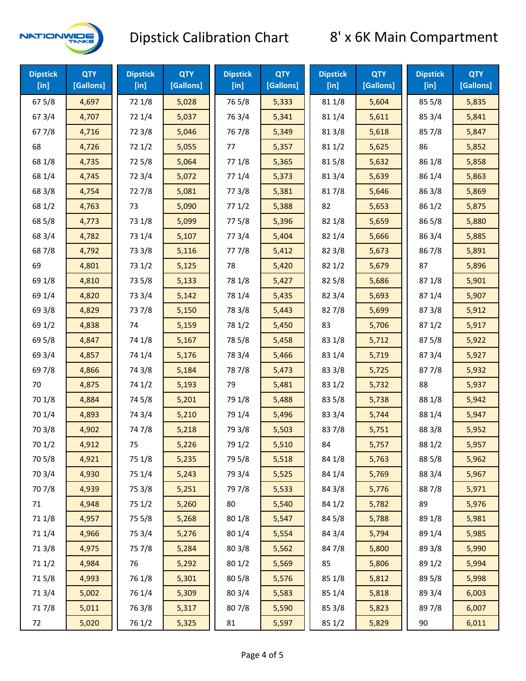

| <b>Dipstick</b><br>$[$ in] | <b>QTY</b><br>[Gallons] | <b>Dipstick</b><br>$[$ in] | <b>QTY</b><br>[Gallons] | <b>Dipstick</b><br>$[$ in] | <b>QTY</b><br>[Gallons] | <b>Dipstick</b><br>$[$ in] | <b>QTY</b><br>[Gallons] | <b>Dipstick</b><br>$[$ in] | <b>QTY</b><br>[Gallons] |
|----------------------------|-------------------------|----------------------------|-------------------------|----------------------------|-------------------------|----------------------------|-------------------------|----------------------------|-------------------------|
| 675/8                      | 4,697                   | 72 1/8                     | 5,028                   | 765/8                      | 5,333                   | 81 1/8                     | 5,604                   | 85 5/8                     | 5,835                   |
| 67 3/4                     | 4,707                   | 72 1/4                     | 5,037                   | 763/4                      | 5,341                   | 81 1/4                     | 5,611                   | 85 3/4                     | 5,841                   |
| 677/8                      | 4,716                   | 72 3/8                     | 5,046                   | 767/8                      | 5,349                   | 81 3/8                     | 5,618                   | 85 7/8                     | 5,847                   |
| 68                         | 4,726                   | 72 1/2                     | 5,055                   | 77                         | 5,357                   | 811/2                      | 5,625                   | 86                         | 5,852                   |
| 68 1/8                     | 4,735                   | 725/8                      | 5,064                   | 77 1/8                     | 5,365                   | 815/8                      | 5,632                   | 86 1/8                     | 5,858                   |
| 68 1/4                     | 4,745                   | 72 3/4                     | 5,072                   | 77 1/4                     | 5,373                   | 813/4                      | 5,639                   | 86 1/4                     | 5,863                   |
| 68 3/8                     | 4,754                   | 727/8                      | 5,081                   | 77 3/8                     | 5,381                   | 817/8                      | 5,646                   | 86 3/8                     | 5,869                   |
| 68 1/2                     | 4,763                   | 73                         | 5,090                   | 771/2                      | 5,388                   | 82                         | 5,653                   | 86 1/2                     | 5,875                   |
| 68 5/8                     | 4,773                   | 73 1/8                     | 5,099                   | 775/8                      | 5,396                   | 82 1/8                     | 5,659                   | 86 5/8                     | 5,880                   |
| 68 3/4                     | 4,782                   | 73 1/4                     | 5,107                   | 773/4                      | 5,404                   | 82 1/4                     | 5,666                   | 86 3/4                     | 5,885                   |
| 687/8                      | 4,792                   | 73 3/8                     | 5,116                   | 777/8                      | 5,412                   | 82 3/8                     | 5,673                   | 867/8                      | 5,891                   |
| 69                         | 4,801                   | 73 1/2                     | 5,125                   | 78                         | 5,420                   | 821/2                      | 5,679                   | 87                         | 5,896                   |
| 69 1/8                     | 4,810                   | 73 5/8                     | 5,133                   | 78 1/8                     | 5,427                   | 82 5/8                     | 5,686                   | 871/8                      | 5,901                   |
| 69 1/4                     | 4,820                   | 73 3/4                     | 5,142                   | 78 1/4                     | 5,435                   | 82 3/4                     | 5,693                   | 871/4                      | 5,907                   |
| 69 3/8                     | 4,829                   | 737/8                      | 5,150                   | 78 3/8                     | 5,443                   | 827/8                      | 5,699                   | 87 3/8                     | 5,912                   |
| 69 1/2                     | 4,838                   | 74                         | 5,159                   | 78 1/2                     | 5,450                   | 83                         | 5,706                   | 871/2                      | 5,917                   |
| 69 5/8                     | 4,847                   | 74 1/8                     | 5,167                   | 78 5/8                     | 5,458                   | 83 1/8                     | 5,712                   | 87 5/8                     | 5,922                   |
| 69 3/4                     | 4,857                   | 74 1/4                     | 5,176                   | 78 3/4                     | 5,466                   | 83 1/4                     | 5,719                   | 87 3/4                     | 5,927                   |
| 697/8                      | 4,866                   | 74 3/8                     | 5,184                   | 787/8                      | 5,473                   | 83 3/8                     | 5,725                   | 877/8                      | 5,932                   |
| 70                         | 4,875                   | 74 1/2                     | 5,193                   | 79                         | 5,481                   | 83 1/2                     | 5,732                   | 88                         | 5,937                   |
| 70 1/8                     | 4,884                   | 74 5/8                     | 5,201                   | 79 1/8                     | 5,488                   | 83 5/8                     | 5,738                   | 88 1/8                     | 5,942                   |
| 70 1/4                     | 4,893                   | 74 3/4                     | 5,210                   | 79 1/4                     | 5,496                   | 83 3/4                     | 5,744                   | 88 1/4                     | 5,947                   |
| 70 3/8                     | 4,902                   | 74 7/8                     | 5,218                   | 79 3/8                     | 5,503                   | 837/8                      | 5,751                   | 88 3/8                     | 5,952                   |
| 70 1/2                     | 4,912                   | 75                         | 5,226                   | 79 1/2                     | 5,510                   | 84                         | 5,757                   | 88 1/2                     | 5,957                   |
| 70 5/8                     | 4,921                   | 75 1/8                     | 5,235                   | 79 5/8                     | 5,518                   | 84 1/8                     | 5,763                   | 88 5/8                     | 5,962                   |
| 70 3/4                     | 4,930                   | 75 1/4                     | 5,243                   | 79 3/4                     | 5,525                   | 84 1/4                     | 5,769                   | 88 3/4                     | 5,967                   |
| 70 7/8                     | 4,939                   | 75 3/8                     | 5,251                   | 79 7/8                     | 5,533                   | 84 3/8                     | 5,776                   | 887/8                      | 5,971                   |
| 71                         | 4,948                   | 75 1/2                     | 5,260                   | 80                         | 5,540                   | 84 1/2                     | 5,782                   | 89                         | 5,976                   |
| 71 1/8                     | 4,957                   | 75 5/8                     | 5,268                   | 80 1/8                     | 5,547                   | 84 5/8                     | 5,788                   | 89 1/8                     | 5,981                   |
| 71 1/4                     | 4,966                   | 75 3/4                     | 5,276                   | 80 1/4                     | 5,554                   | 84 3/4                     | 5,794                   | 89 1/4                     | 5,985                   |
| 713/8                      | 4,975                   | 75 7/8                     | 5,284                   | 803/8                      | 5,562                   | 84 7/8                     | 5,800                   | 89 3/8                     | 5,990                   |
| 71 1/2                     | 4,984                   | 76                         | 5,292                   | 80 1/2                     | 5,569                   | 85                         | 5,806                   | 89 1/2                     | 5,994                   |
| 715/8                      | 4,993                   | 76 1/8                     | 5,301                   | 80 5/8                     | 5,576                   | 85 1/8                     | 5,812                   | 89 5/8                     | 5,998                   |
| 713/4                      | 5,002                   | 76 1/4                     | 5,309                   | 80 3/4                     | 5,583                   | 85 1/4                     | 5,818                   | 89 3/4                     | 6,003                   |
| 717/8                      | 5,011                   | 763/8                      | 5,317                   | 807/8                      | 5,590                   | 85 3/8                     | 5,823                   | 897/8                      | 6,007                   |
| 72                         | 5,020                   | 76 1/2                     | 5,325                   | 81                         | 5,597                   | 85 1/2                     | 5,829                   | 90                         | 6,011                   |